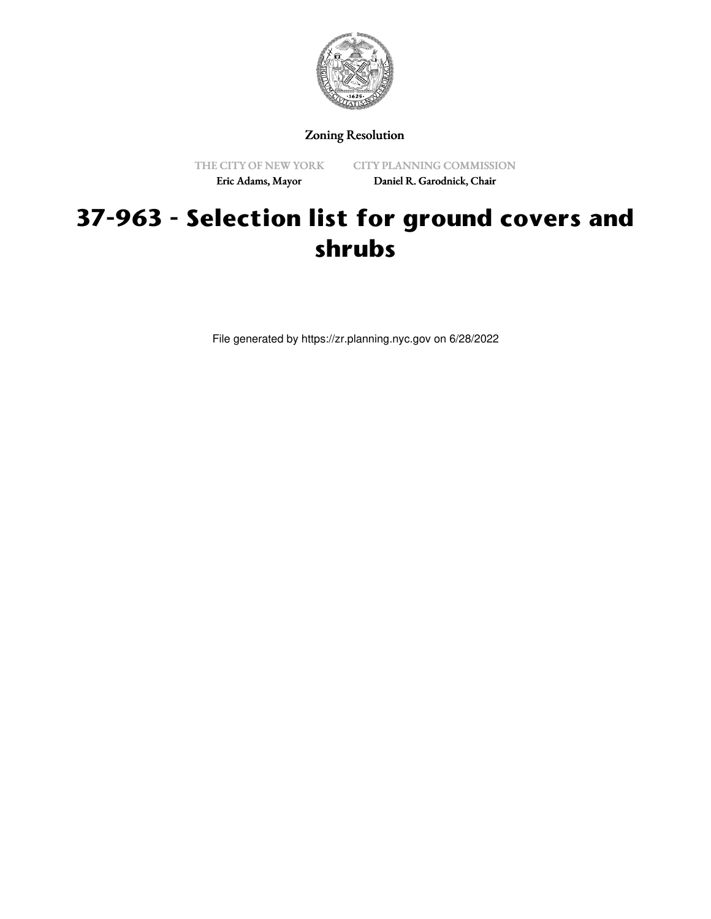

## Zoning Resolution

THE CITY OF NEW YORK Eric Adams, Mayor

CITY PLANNING COMMISSION Daniel R. Garodnick, Chair

## **37-963 - Selection list for ground covers and shrubs**

File generated by https://zr.planning.nyc.gov on 6/28/2022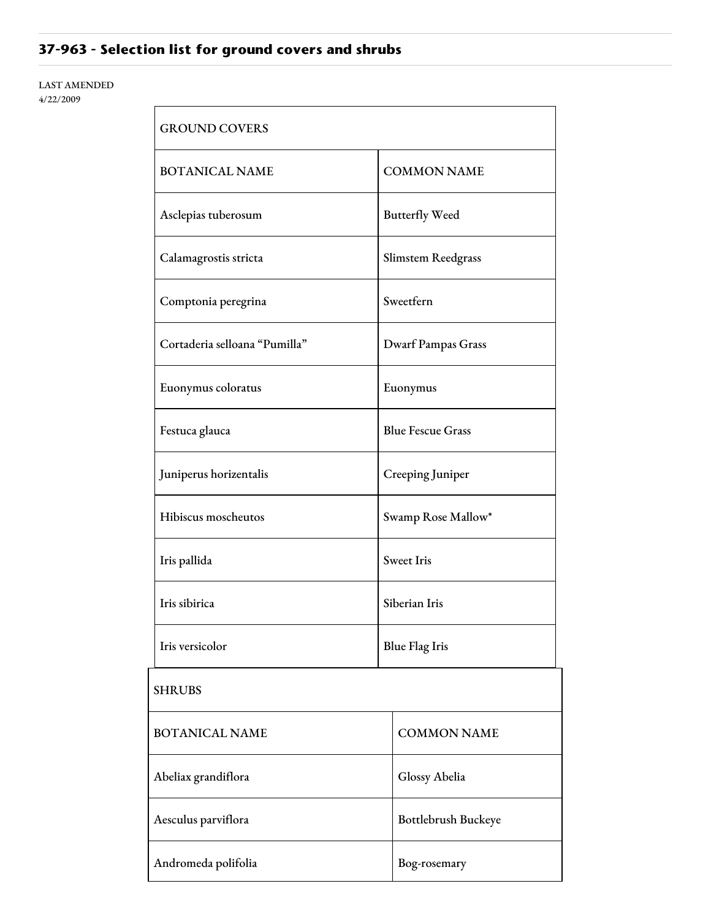## **37-963 - Selection list for ground covers and shrubs**

## LAST AMENDED 4/22/2009

| <b>GROUND COVERS</b>          |                           |  |
|-------------------------------|---------------------------|--|
| <b>BOTANICAL NAME</b>         | <b>COMMON NAME</b>        |  |
| Asclepias tuberosum           | <b>Butterfly Weed</b>     |  |
| Calamagrostis stricta         | Slimstem Reedgrass        |  |
| Comptonia peregrina           | Sweetfern                 |  |
| Cortaderia selloana "Pumilla" | <b>Dwarf Pampas Grass</b> |  |
| Euonymus coloratus            | Euonymus                  |  |
| Festuca glauca                | <b>Blue Fescue Grass</b>  |  |
| Juniperus horizentalis        | Creeping Juniper          |  |
| Hibiscus moscheutos           | Swamp Rose Mallow*        |  |
| Iris pallida                  | <b>Sweet Iris</b>         |  |
| Iris sibirica                 | Siberian Iris             |  |
| Iris versicolor               | <b>Blue Flag Iris</b>     |  |
| <b>SHRUBS</b>                 |                           |  |
| <b>BOTANICAL NAME</b>         | <b>COMMON NAME</b>        |  |
| Abeliax grandiflora           | Glossy Abelia             |  |
| Aesculus parviflora           | Bottlebrush Buckeye       |  |
| Andromeda polifolia           | Bog-rosemary              |  |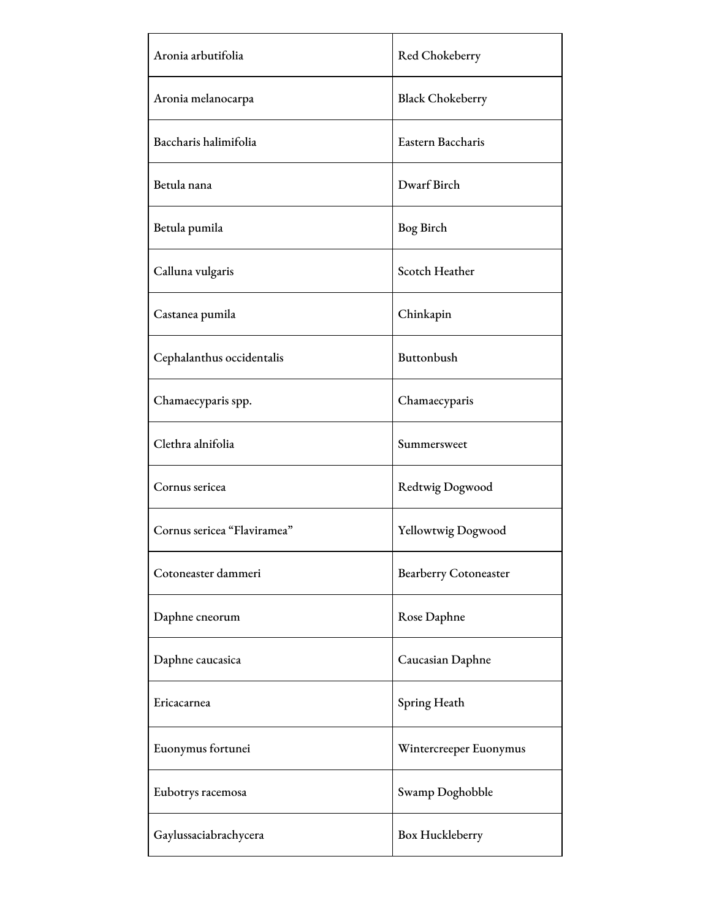| Aronia arbutifolia          | Red Chokeberry               |
|-----------------------------|------------------------------|
| Aronia melanocarpa          | <b>Black Chokeberry</b>      |
| Baccharis halimifolia       | Eastern Baccharis            |
| Betula nana                 | Dwarf Birch                  |
| Betula pumila               | Bog Birch                    |
| Calluna vulgaris            | Scotch Heather               |
| Castanea pumila             | Chinkapin                    |
| Cephalanthus occidentalis   | Buttonbush                   |
| Chamaecyparis spp.          | Chamaecyparis                |
| Clethra alnifolia           | Summersweet                  |
| Cornus sericea              | Redtwig Dogwood              |
| Cornus sericea "Flaviramea" | Yellowtwig Dogwood           |
| Cotoneaster dammeri         | <b>Bearberry Cotoneaster</b> |
| Daphne cneorum              | Rose Daphne                  |
| Daphne caucasica            | Caucasian Daphne             |
| Ericacarnea                 | Spring Heath                 |
| Euonymus fortunei           | Wintercreeper Euonymus       |
| Eubotrys racemosa           | Swamp Doghobble              |
| Gaylussaciabrachycera       | Box Huckleberry              |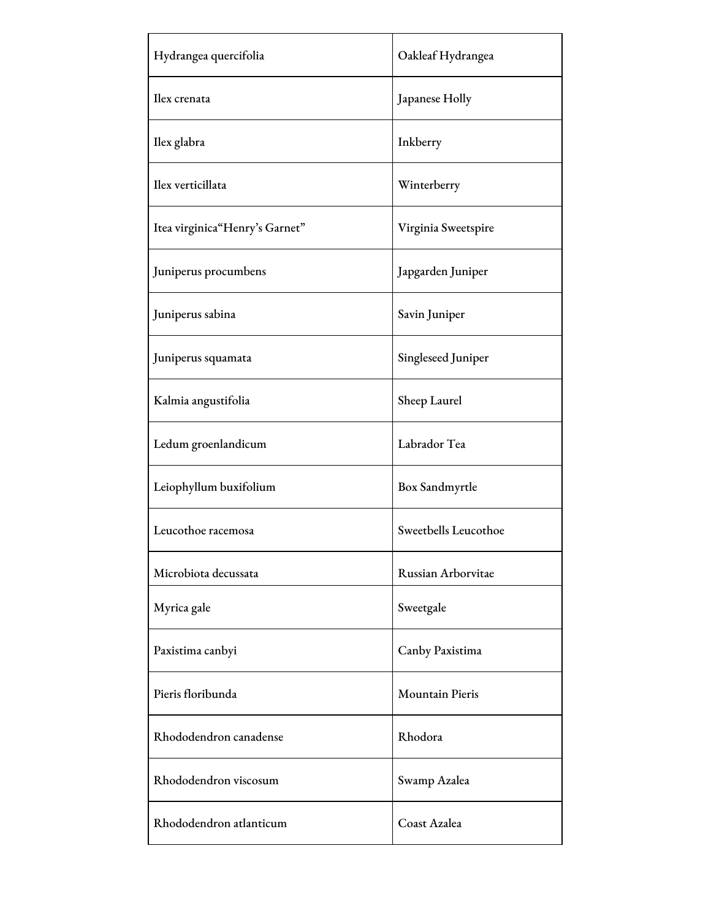| Hydrangea quercifolia          | Oakleaf Hydrangea      |
|--------------------------------|------------------------|
| Ilex crenata                   | Japanese Holly         |
| Ilex glabra                    | Inkberry               |
| Ilex verticillata              | Winterberry            |
| Itea virginica"Henry's Garnet" | Virginia Sweetspire    |
| Juniperus procumbens           | Japgarden Juniper      |
| Juniperus sabina               | Savin Juniper          |
| Juniperus squamata             | Singleseed Juniper     |
| Kalmia angustifolia            | Sheep Laurel           |
| Ledum groenlandicum            | Labrador Tea           |
| Leiophyllum buxifolium         | Box Sandmyrtle         |
| Leucothoe racemosa             | Sweetbells Leucothoe   |
| Microbiota decussata           | Russian Arborvitae     |
| Myrica gale                    | Sweetgale              |
| Paxistima canbyi               | Canby Paxistima        |
| Pieris floribunda              | <b>Mountain Pieris</b> |
| Rhododendron canadense         | Rhodora                |
| Rhododendron viscosum          | Swamp Azalea           |
| Rhododendron atlanticum        | Coast Azalea           |